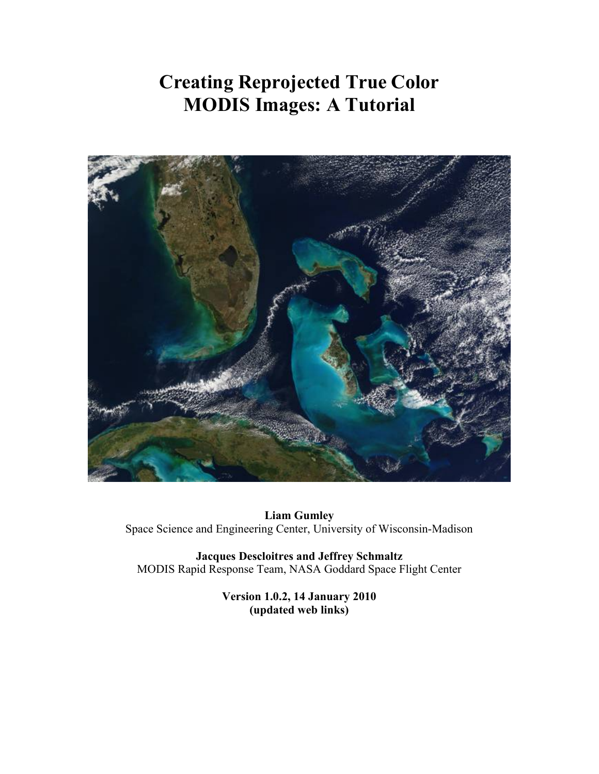# **Creating Reprojected True Color MODIS Images: A Tutorial**



**Liam Gumley** Space Science and Engineering Center, University of Wisconsin-Madison

**Jacques Descloitres and Jeffrey Schmaltz** MODIS Rapid Response Team, NASA Goddard Space Flight Center

> **Version 1.0.2, 14 January 2010 (updated web links)**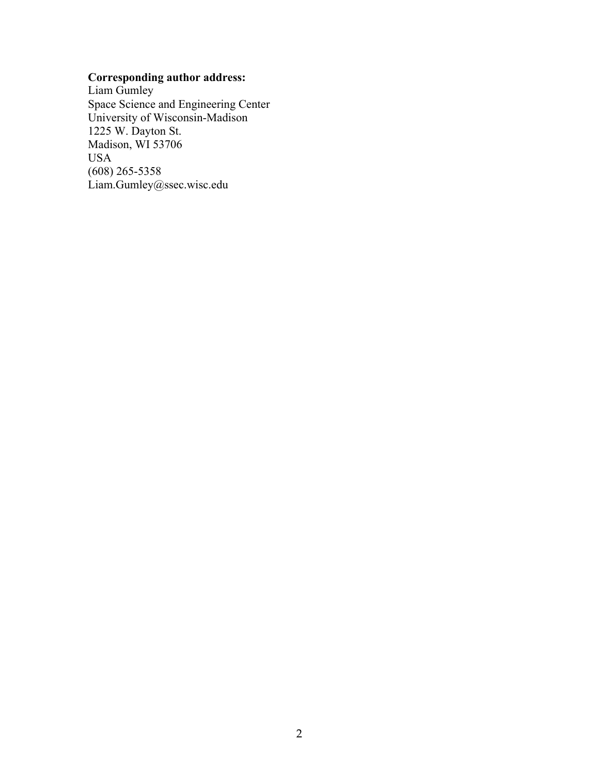# **Corresponding author address:**

Liam Gumley Space Science and Engineering Center University of Wisconsin-Madison 1225 W. Dayton St. Madison, WI 53706 USA (608) 265-5358 Liam.Gumley@ssec.wisc.edu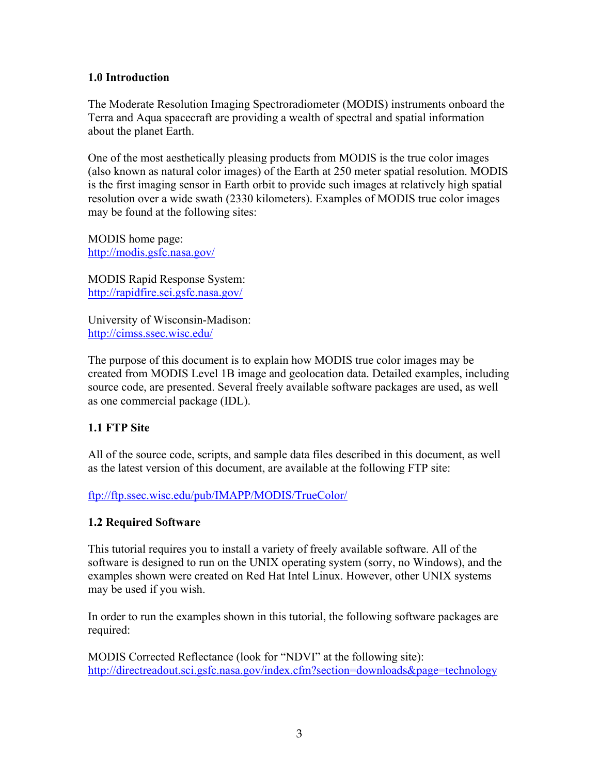# **1.0 Introduction**

The Moderate Resolution Imaging Spectroradiometer (MODIS) instruments onboard the Terra and Aqua spacecraft are providing a wealth of spectral and spatial information about the planet Earth.

One of the most aesthetically pleasing products from MODIS is the true color images (also known as natural color images) of the Earth at 250 meter spatial resolution. MODIS is the first imaging sensor in Earth orbit to provide such images at relatively high spatial resolution over a wide swath (2330 kilometers). Examples of MODIS true color images may be found at the following sites:

MODIS home page: http://modis.gsfc.nasa.gov/

MODIS Rapid Response System: http://rapidfire.sci.gsfc.nasa.gov/

University of Wisconsin-Madison: http://cimss.ssec.wisc.edu/

The purpose of this document is to explain how MODIS true color images may be created from MODIS Level 1B image and geolocation data. Detailed examples, including source code, are presented. Several freely available software packages are used, as well as one commercial package (IDL).

# **1.1 FTP Site**

All of the source code, scripts, and sample data files described in this document, as well as the latest version of this document, are available at the following FTP site:

ftp://ftp.ssec.wisc.edu/pub/IMAPP/MODIS/TrueColor/

### **1.2 Required Software**

This tutorial requires you to install a variety of freely available software. All of the software is designed to run on the UNIX operating system (sorry, no Windows), and the examples shown were created on Red Hat Intel Linux. However, other UNIX systems may be used if you wish.

In order to run the examples shown in this tutorial, the following software packages are required:

MODIS Corrected Reflectance (look for "NDVI" at the following site): http://directreadout.sci.gsfc.nasa.gov/index.cfm?section=downloads&page=technology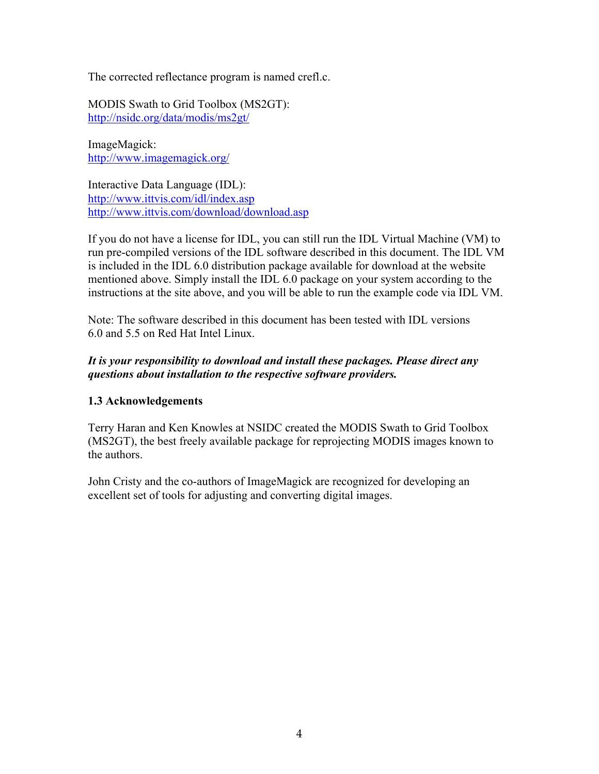The corrected reflectance program is named crefl.c.

MODIS Swath to Grid Toolbox (MS2GT): http://nsidc.org/data/modis/ms2gt/

ImageMagick: http://www.imagemagick.org/

Interactive Data Language (IDL): http://www.ittvis.com/idl/index.asp http://www.ittvis.com/download/download.asp

If you do not have a license for IDL, you can still run the IDL Virtual Machine (VM) to run pre-compiled versions of the IDL software described in this document. The IDL VM is included in the IDL 6.0 distribution package available for download at the website mentioned above. Simply install the IDL 6.0 package on your system according to the instructions at the site above, and you will be able to run the example code via IDL VM.

Note: The software described in this document has been tested with IDL versions 6.0 and 5.5 on Red Hat Intel Linux.

# *It is your responsibility to download and install these packages. Please direct any questions about installation to the respective software providers.*

# **1.3 Acknowledgements**

Terry Haran and Ken Knowles at NSIDC created the MODIS Swath to Grid Toolbox (MS2GT), the best freely available package for reprojecting MODIS images known to the authors.

John Cristy and the co-authors of ImageMagick are recognized for developing an excellent set of tools for adjusting and converting digital images.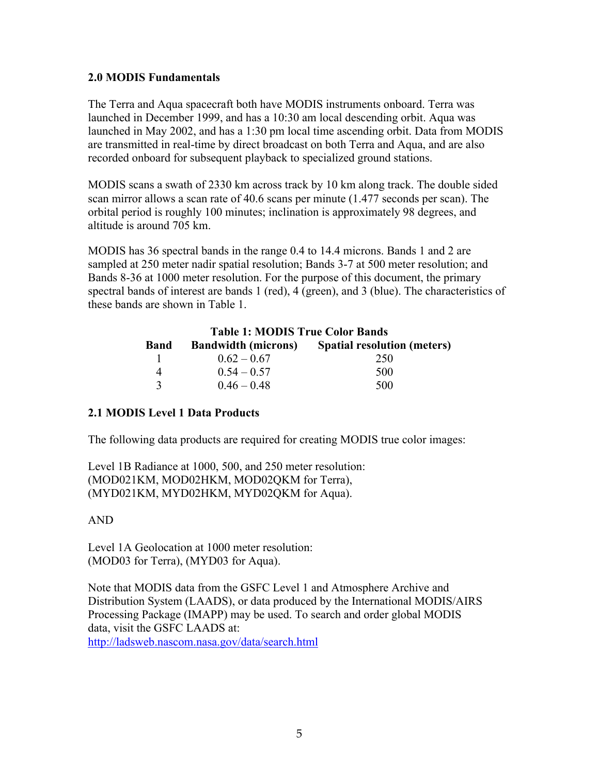## **2.0 MODIS Fundamentals**

The Terra and Aqua spacecraft both have MODIS instruments onboard. Terra was launched in December 1999, and has a 10:30 am local descending orbit. Aqua was launched in May 2002, and has a 1:30 pm local time ascending orbit. Data from MODIS are transmitted in real-time by direct broadcast on both Terra and Aqua, and are also recorded onboard for subsequent playback to specialized ground stations.

MODIS scans a swath of 2330 km across track by 10 km along track. The double sided scan mirror allows a scan rate of 40.6 scans per minute (1.477 seconds per scan). The orbital period is roughly 100 minutes; inclination is approximately 98 degrees, and altitude is around 705 km.

MODIS has 36 spectral bands in the range 0.4 to 14.4 microns. Bands 1 and 2 are sampled at 250 meter nadir spatial resolution; Bands 3-7 at 500 meter resolution; and Bands 8-36 at 1000 meter resolution. For the purpose of this document, the primary spectral bands of interest are bands 1 (red), 4 (green), and 3 (blue). The characteristics of these bands are shown in Table 1.

| <b>Table 1: MODIS True Color Bands</b> |               |                                                        |  |  |
|----------------------------------------|---------------|--------------------------------------------------------|--|--|
| <b>Band</b>                            |               | <b>Bandwidth (microns)</b> Spatial resolution (meters) |  |  |
|                                        | $0.62 - 0.67$ | 250                                                    |  |  |
| $\overline{4}$                         | $0.54 - 0.57$ | 500                                                    |  |  |
| $\mathbf{R}$                           | $0.46 - 0.48$ | 500                                                    |  |  |

### **2.1 MODIS Level 1 Data Products**

The following data products are required for creating MODIS true color images:

Level 1B Radiance at 1000, 500, and 250 meter resolution: (MOD021KM, MOD02HKM, MOD02QKM for Terra), (MYD021KM, MYD02HKM, MYD02QKM for Aqua).

### AND

Level 1A Geolocation at 1000 meter resolution: (MOD03 for Terra), (MYD03 for Aqua).

Note that MODIS data from the GSFC Level 1 and Atmosphere Archive and Distribution System (LAADS), or data produced by the International MODIS/AIRS Processing Package (IMAPP) may be used. To search and order global MODIS data, visit the GSFC LAADS at:

http://ladsweb.nascom.nasa.gov/data/search.html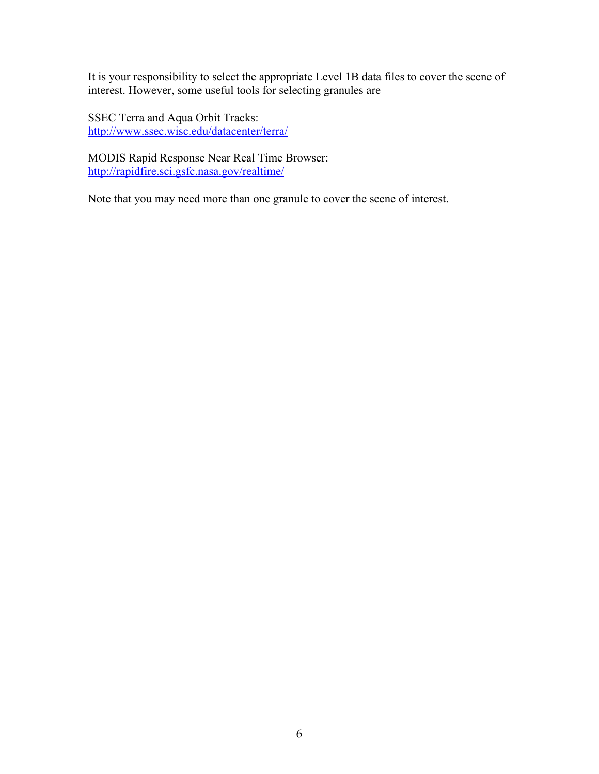It is your responsibility to select the appropriate Level 1B data files to cover the scene of interest. However, some useful tools for selecting granules are

SSEC Terra and Aqua Orbit Tracks: http://www.ssec.wisc.edu/datacenter/terra/

MODIS Rapid Response Near Real Time Browser: http://rapidfire.sci.gsfc.nasa.gov/realtime/

Note that you may need more than one granule to cover the scene of interest.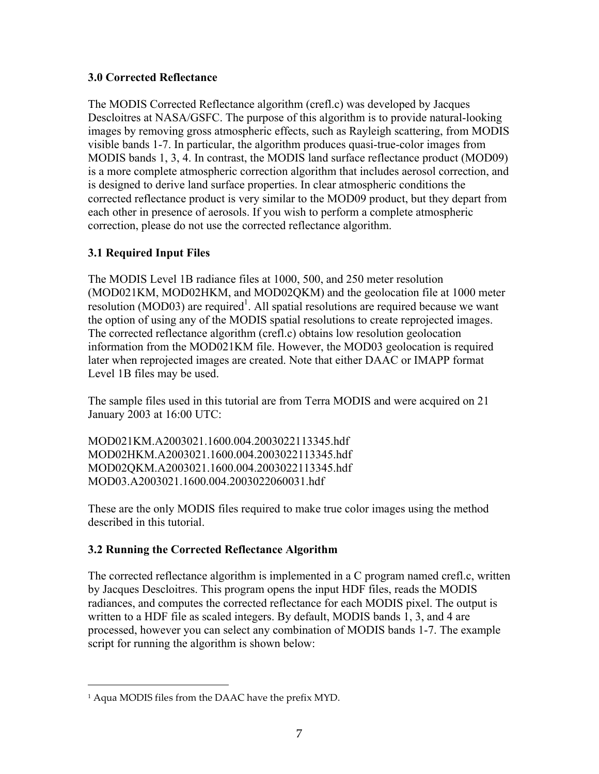# **3.0 Corrected Reflectance**

The MODIS Corrected Reflectance algorithm (crefl.c) was developed by Jacques Descloitres at NASA/GSFC. The purpose of this algorithm is to provide natural-looking images by removing gross atmospheric effects, such as Rayleigh scattering, from MODIS visible bands 1-7. In particular, the algorithm produces quasi-true-color images from MODIS bands 1, 3, 4. In contrast, the MODIS land surface reflectance product (MOD09) is a more complete atmospheric correction algorithm that includes aerosol correction, and is designed to derive land surface properties. In clear atmospheric conditions the corrected reflectance product is very similar to the MOD09 product, but they depart from each other in presence of aerosols. If you wish to perform a complete atmospheric correction, please do not use the corrected reflectance algorithm.

# **3.1 Required Input Files**

The MODIS Level 1B radiance files at 1000, 500, and 250 meter resolution (MOD021KM, MOD02HKM, and MOD02QKM) and the geolocation file at 1000 meter  $r$ esolution (MOD03) are required<sup>1</sup>. All spatial resolutions are required because we want the option of using any of the MODIS spatial resolutions to create reprojected images. The corrected reflectance algorithm (crefl.c) obtains low resolution geolocation information from the MOD021KM file. However, the MOD03 geolocation is required later when reprojected images are created. Note that either DAAC or IMAPP format Level 1B files may be used.

The sample files used in this tutorial are from Terra MODIS and were acquired on 21 January 2003 at 16:00 UTC:

MOD021KM.A2003021.1600.004.2003022113345.hdf MOD02HKM.A2003021.1600.004.2003022113345.hdf MOD02QKM.A2003021.1600.004.2003022113345.hdf MOD03.A2003021.1600.004.2003022060031.hdf

These are the only MODIS files required to make true color images using the method described in this tutorial.

# **3.2 Running the Corrected Reflectance Algorithm**

The corrected reflectance algorithm is implemented in a C program named crefl.c, written by Jacques Descloitres. This program opens the input HDF files, reads the MODIS radiances, and computes the corrected reflectance for each MODIS pixel. The output is written to a HDF file as scaled integers. By default, MODIS bands 1, 3, and 4 are processed, however you can select any combination of MODIS bands 1-7. The example script for running the algorithm is shown below:

 $\overline{a}$ 

<sup>1</sup> Aqua MODIS files from the DAAC have the prefix MYD.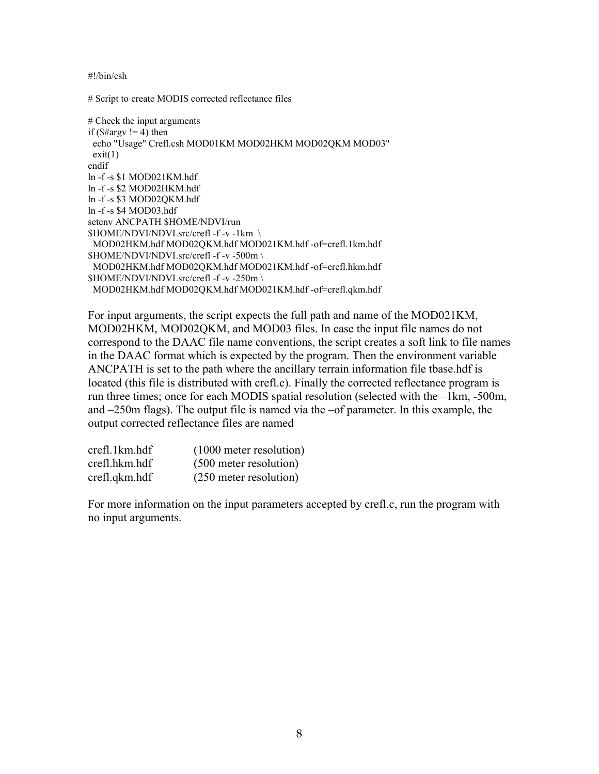#!/bin/csh

# Script to create MODIS corrected reflectance files

```
# Check the input arguments
if ($#argv != 4) then
 echo "Usage" Crefl.csh MOD01KM MOD02HKM MOD02QKM MOD03"
exit(1)endif
ln -f -s $1 MOD021KM.hdf
ln -f -s $2 MOD02HKM.hdf
ln -f -s $3 MOD02QKM.hdf
ln -f -s $4 MOD03.hdf
setenv ANCPATH $HOME/NDVI/run
$HOME/NDVI/NDVI.src/crefl -f -v -1km \
 MOD02HKM.hdf MOD02QKM.hdf MOD021KM.hdf -of=crefl.1km.hdf
$HOME/NDVI/NDVI.src/crefl -f -v -500m \
 MOD02HKM.hdf MOD02QKM.hdf MOD021KM.hdf -of=crefl.hkm.hdf
$HOME/NDVI/NDVI.src/crefl -f -v -250m \
 MOD02HKM.hdf MOD02QKM.hdf MOD021KM.hdf -of=crefl.qkm.hdf
```
For input arguments, the script expects the full path and name of the MOD021KM, MOD02HKM, MOD02QKM, and MOD03 files. In case the input file names do not correspond to the DAAC file name conventions, the script creates a soft link to file names in the DAAC format which is expected by the program. Then the environment variable ANCPATH is set to the path where the ancillary terrain information file tbase.hdf is located (this file is distributed with crefl.c). Finally the corrected reflectance program is run three times; once for each MODIS spatial resolution (selected with the –1km, -500m, and –250m flags). The output file is named via the –of parameter. In this example, the output corrected reflectance files are named

| crefl.1km.hdf | $(1000$ meter resolution) |
|---------------|---------------------------|
| crefl.hkm.hdf | (500 meter resolution)    |
| crefl.qkm.hdf | (250 meter resolution)    |

For more information on the input parameters accepted by crefl.c, run the program with no input arguments.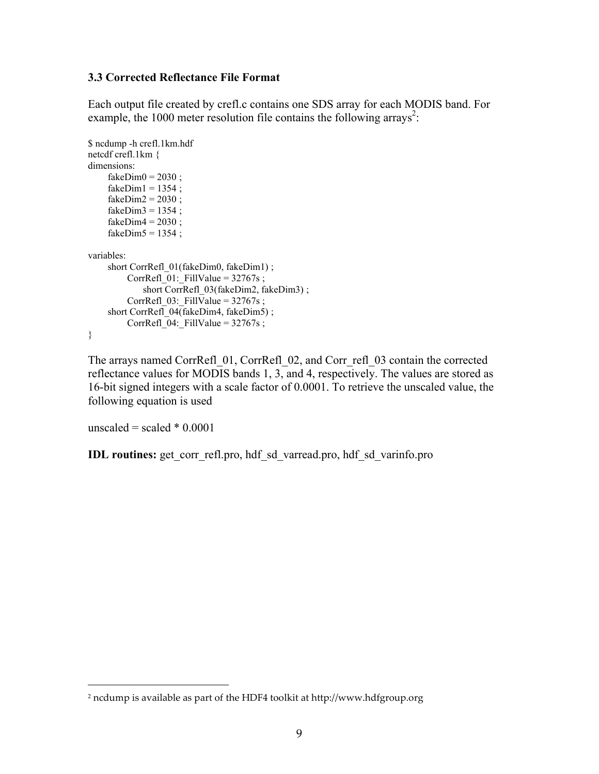#### **3.3 Corrected Reflectance File Format**

Each output file created by crefl.c contains one SDS array for each MODIS band. For example, the 1000 meter resolution file contains the following arrays<sup>2</sup>:

```
$ ncdump -h crefl.1km.hdf
netcdf crefl.1km {
dimensions:
    fakeDim0 = 2030;
    fakeDim1 = 1354;
    fakeDim2 = 2030;
    fakeDim3 = 1354;
    fakeDim4 = 2030;
    fakeDim5 = 1354;
variables:
     short CorrRefl_01(fakeDim0, fakeDim1) ;
        CorrRefl 01: FillValue = 32767s ;
            short CorrRefl_03(fakeDim2, fakeDim3) ;
         CorrRefl_03:_FillValue = 32767s;
    short CorrRefl_04(fakeDim4, fakeDim5) ;
         CorrRefl 04: FillValue = 32767s;
}
```
The arrays named CorrRefl\_01, CorrRefl\_02, and Corr\_refl\_03 contain the corrected reflectance values for MODIS bands 1, 3, and 4, respectively. The values are stored as 16-bit signed integers with a scale factor of 0.0001. To retrieve the unscaled value, the following equation is used

unscaled = scaled  $*$  0.0001

 $\overline{a}$ 

**IDL routines:** get corr\_refl.pro, hdf\_sd\_varread.pro, hdf\_sd\_varinfo.pro

<sup>2</sup> ncdump is available as part of the HDF4 toolkit at http://www.hdfgroup.org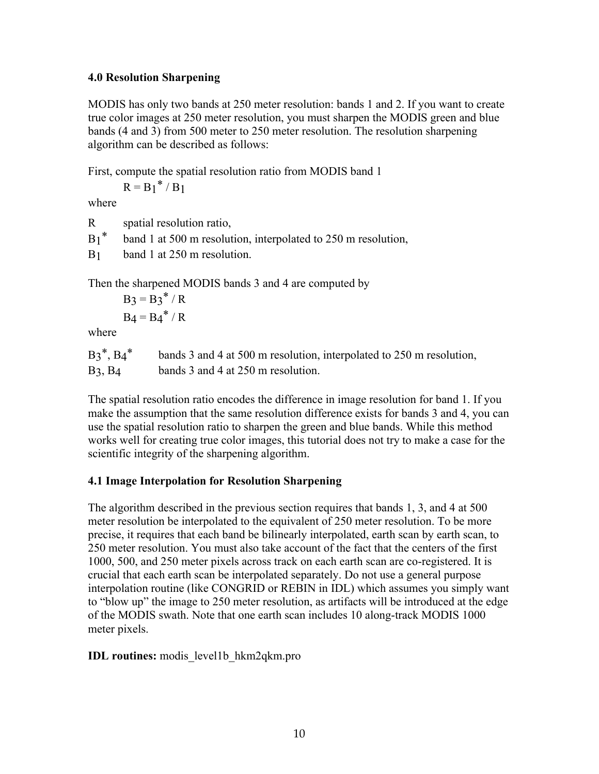## **4.0 Resolution Sharpening**

MODIS has only two bands at 250 meter resolution: bands 1 and 2. If you want to create true color images at 250 meter resolution, you must sharpen the MODIS green and blue bands (4 and 3) from 500 meter to 250 meter resolution. The resolution sharpening algorithm can be described as follows:

First, compute the spatial resolution ratio from MODIS band 1

 $R = B_1^* / B_1$ 

where

R spatial resolution ratio,

 $B_1^*$  band 1 at 500 m resolution, interpolated to 250 m resolution,

B1 band 1 at 250 m resolution.

Then the sharpened MODIS bands 3 and 4 are computed by

 $B_3 = B_3^* / R$  $B_4 = B_4^* / R$ 

where

| $B3^*$ , $B4^*$ | bands 3 and 4 at 500 m resolution, interpolated to 250 m resolution, |
|-----------------|----------------------------------------------------------------------|
| $B_3$ , $B_4$   | bands 3 and 4 at 250 m resolution.                                   |

The spatial resolution ratio encodes the difference in image resolution for band 1. If you make the assumption that the same resolution difference exists for bands 3 and 4, you can use the spatial resolution ratio to sharpen the green and blue bands. While this method works well for creating true color images, this tutorial does not try to make a case for the scientific integrity of the sharpening algorithm.

# **4.1 Image Interpolation for Resolution Sharpening**

The algorithm described in the previous section requires that bands 1, 3, and 4 at 500 meter resolution be interpolated to the equivalent of 250 meter resolution. To be more precise, it requires that each band be bilinearly interpolated, earth scan by earth scan, to 250 meter resolution. You must also take account of the fact that the centers of the first 1000, 500, and 250 meter pixels across track on each earth scan are co-registered. It is crucial that each earth scan be interpolated separately. Do not use a general purpose interpolation routine (like CONGRID or REBIN in IDL) which assumes you simply want to "blow up" the image to 250 meter resolution, as artifacts will be introduced at the edge of the MODIS swath. Note that one earth scan includes 10 along-track MODIS 1000 meter pixels.

# **IDL routines:** modis\_level1b\_hkm2qkm.pro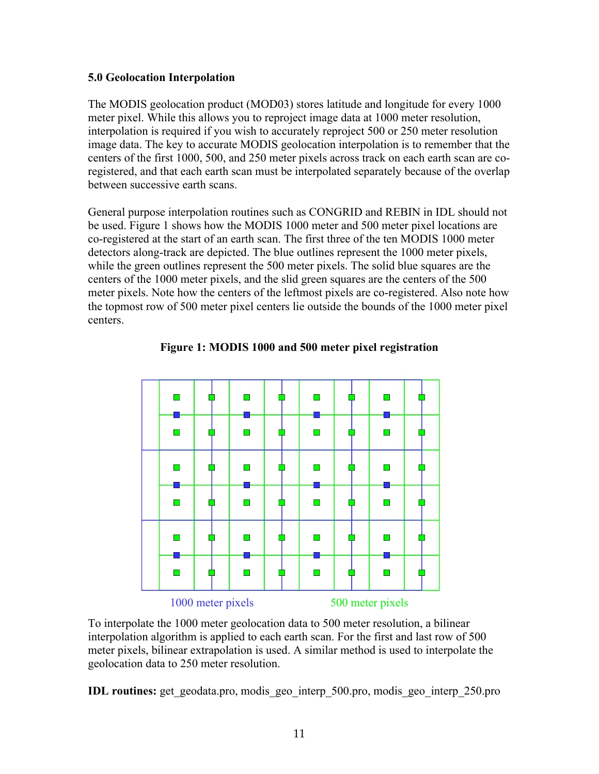## **5.0 Geolocation Interpolation**

The MODIS geolocation product (MOD03) stores latitude and longitude for every 1000 meter pixel. While this allows you to reproject image data at 1000 meter resolution, interpolation is required if you wish to accurately reproject 500 or 250 meter resolution image data. The key to accurate MODIS geolocation interpolation is to remember that the centers of the first 1000, 500, and 250 meter pixels across track on each earth scan are coregistered, and that each earth scan must be interpolated separately because of the overlap between successive earth scans.

General purpose interpolation routines such as CONGRID and REBIN in IDL should not be used. Figure 1 shows how the MODIS 1000 meter and 500 meter pixel locations are co-registered at the start of an earth scan. The first three of the ten MODIS 1000 meter detectors along-track are depicted. The blue outlines represent the 1000 meter pixels, while the green outlines represent the 500 meter pixels. The solid blue squares are the centers of the 1000 meter pixels, and the slid green squares are the centers of the 500 meter pixels. Note how the centers of the leftmost pixels are co-registered. Also note how the topmost row of 500 meter pixel centers lie outside the bounds of the 1000 meter pixel centers.





To interpolate the 1000 meter geolocation data to 500 meter resolution, a bilinear interpolation algorithm is applied to each earth scan. For the first and last row of 500 meter pixels, bilinear extrapolation is used. A similar method is used to interpolate the geolocation data to 250 meter resolution.

**IDL routines:** get geodata.pro, modis geo interp 500.pro, modis geo interp 250.pro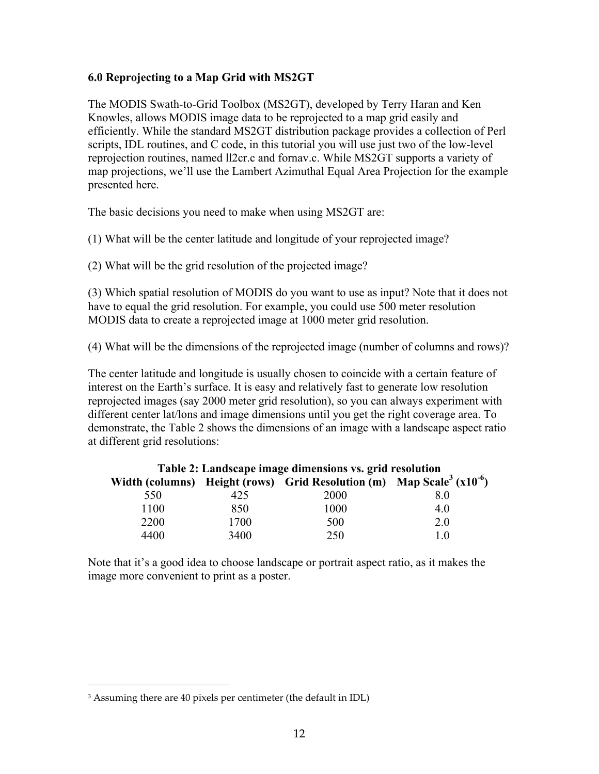# **6.0 Reprojecting to a Map Grid with MS2GT**

The MODIS Swath-to-Grid Toolbox (MS2GT), developed by Terry Haran and Ken Knowles, allows MODIS image data to be reprojected to a map grid easily and efficiently. While the standard MS2GT distribution package provides a collection of Perl scripts, IDL routines, and C code, in this tutorial you will use just two of the low-level reprojection routines, named ll2cr.c and fornav.c. While MS2GT supports a variety of map projections, we'll use the Lambert Azimuthal Equal Area Projection for the example presented here.

The basic decisions you need to make when using MS2GT are:

(1) What will be the center latitude and longitude of your reprojected image?

(2) What will be the grid resolution of the projected image?

(3) Which spatial resolution of MODIS do you want to use as input? Note that it does not have to equal the grid resolution. For example, you could use 500 meter resolution MODIS data to create a reprojected image at 1000 meter grid resolution.

(4) What will be the dimensions of the reprojected image (number of columns and rows)?

The center latitude and longitude is usually chosen to coincide with a certain feature of interest on the Earth's surface. It is easy and relatively fast to generate low resolution reprojected images (say 2000 meter grid resolution), so you can always experiment with different center lat/lons and image dimensions until you get the right coverage area. To demonstrate, the Table 2 shows the dimensions of an image with a landscape aspect ratio at different grid resolutions:

| Table 2: Landscape image dimensions vs. grid resolution |      |                                                                                               |     |  |  |
|---------------------------------------------------------|------|-----------------------------------------------------------------------------------------------|-----|--|--|
|                                                         |      | Width (columns) Height (rows) Grid Resolution (m) Map Scale <sup>3</sup> (x10 <sup>-6</sup> ) |     |  |  |
| 550                                                     | 425  | 2000                                                                                          | 8.0 |  |  |
| 1100                                                    | 850  | 1000                                                                                          | 4.0 |  |  |
| 2200                                                    | 1700 | 500                                                                                           | 2.0 |  |  |
| 4400                                                    | 3400 | 250                                                                                           | 10  |  |  |

Note that it's a good idea to choose landscape or portrait aspect ratio, as it makes the image more convenient to print as a poster.

 $\overline{a}$ 

<sup>3</sup> Assuming there are 40 pixels per centimeter (the default in IDL)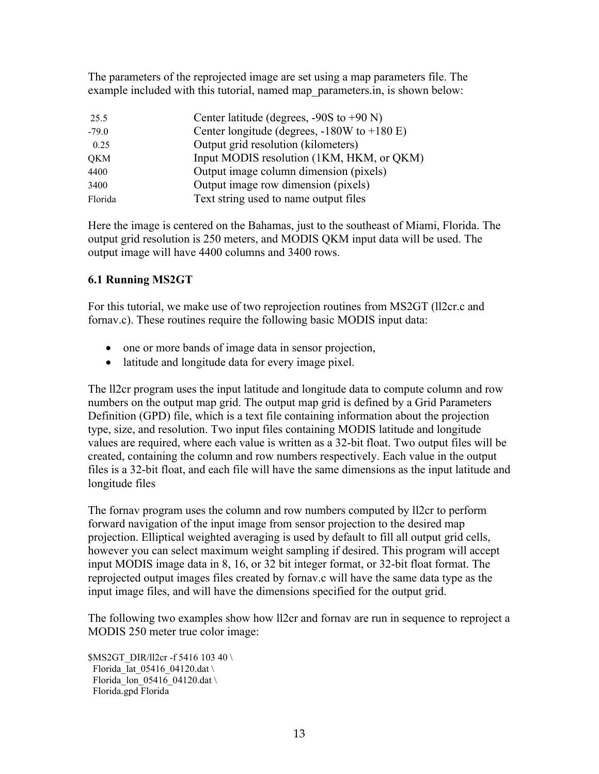The parameters of the reprojected image are set using a map parameters file. The example included with this tutorial, named map\_parameters.in, is shown below:

| 25.5       | Center latitude (degrees, $-90S$ to $+90$ N)    |
|------------|-------------------------------------------------|
| $-79.0$    | Center longitude (degrees, $-180W$ to $+180E$ ) |
| 0.25       | Output grid resolution (kilometers)             |
| <b>QKM</b> | Input MODIS resolution (1KM, HKM, or QKM)       |
| 4400       | Output image column dimension (pixels)          |
| 3400       | Output image row dimension (pixels)             |
| Florida    | Text string used to name output files           |

Here the image is centered on the Bahamas, just to the southeast of Miami, Florida. The output grid resolution is 250 meters, and MODIS QKM input data will be used. The output image will have 4400 columns and 3400 rows.

# **6.1 Running MS2GT**

For this tutorial, we make use of two reprojection routines from MS2GT (ll2cr.c and fornav.c). These routines require the following basic MODIS input data:

- one or more bands of image data in sensor projection,
- latitude and longitude data for every image pixel.

The ll2cr program uses the input latitude and longitude data to compute column and row numbers on the output map grid. The output map grid is defined by a Grid Parameters Definition (GPD) file, which is a text file containing information about the projection type, size, and resolution. Two input files containing MODIS latitude and longitude values are required, where each value is written as a 32-bit float. Two output files will be created, containing the column and row numbers respectively. Each value in the output files is a 32-bit float, and each file will have the same dimensions as the input latitude and longitude files

The fornav program uses the column and row numbers computed by ll2cr to perform forward navigation of the input image from sensor projection to the desired map projection. Elliptical weighted averaging is used by default to fill all output grid cells, however you can select maximum weight sampling if desired. This program will accept input MODIS image data in 8, 16, or 32 bit integer format, or 32-bit float format. The reprojected output images files created by fornav.c will have the same data type as the input image files, and will have the dimensions specified for the output grid.

The following two examples show how ll2cr and fornav are run in sequence to reproject a MODIS 250 meter true color image:

\$MS2GT\_DIR/ll2cr -f 5416 103 40 \ Florida lat  $05416$  04120.dat \ Florida<sup>I</sup>lon<sup>05416</sup>\_04120.dat \ Florida.gpd Florida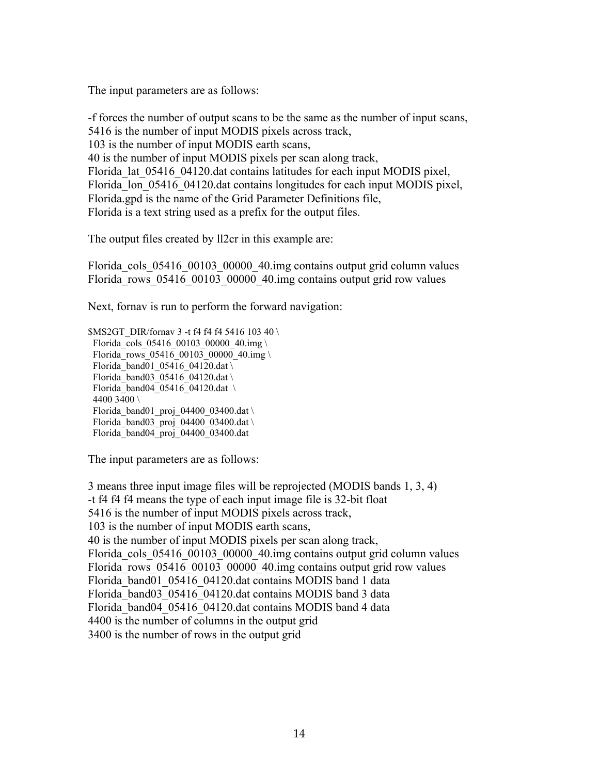The input parameters are as follows:

-f forces the number of output scans to be the same as the number of input scans, 5416 is the number of input MODIS pixels across track, 103 is the number of input MODIS earth scans, 40 is the number of input MODIS pixels per scan along track, Florida lat 05416 04120.dat contains latitudes for each input MODIS pixel, Florida lon 05416 04120.dat contains longitudes for each input MODIS pixel, Florida.gpd is the name of the Grid Parameter Definitions file, Florida is a text string used as a prefix for the output files.

The output files created by ll2cr in this example are:

Florida cols 05416 00103 00000 40.img contains output grid column values Florida rows 05416 00103 00000 40.img contains output grid row values

Next, fornav is run to perform the forward navigation:

 $MSSGT$  DIR/fornav 3 -t f4 f4 f4 5416 103 40 \ Florida cols 05416 00103 00000 40.img \ Florida\_rows\_05416\_00103\_00000\_40.img \ Florida\_band01\_05416\_04120.dat \ Florida\_band03\_05416\_04120.dat \ Florida\_band04\_05416\_04120.dat \ 4400 3400 \ Florida\_band01\_proj\_04400\_03400.dat \ Florida\_band03\_proj\_04400\_03400.dat \ Florida\_band04\_proj\_04400\_03400.dat

The input parameters are as follows:

3 means three input image files will be reprojected (MODIS bands 1, 3, 4) -t f4 f4 f4 means the type of each input image file is 32-bit float 5416 is the number of input MODIS pixels across track, 103 is the number of input MODIS earth scans, 40 is the number of input MODIS pixels per scan along track, Florida cols 05416 00103 00000 40.img contains output grid column values Florida rows 05416 00103 00000 40.img contains output grid row values Florida\_band01\_05416\_04120.dat contains MODIS band 1 data Florida\_band03\_05416\_04120.dat contains MODIS band 3 data Florida\_band04\_05416\_04120.dat contains MODIS band 4 data 4400 is the number of columns in the output grid 3400 is the number of rows in the output grid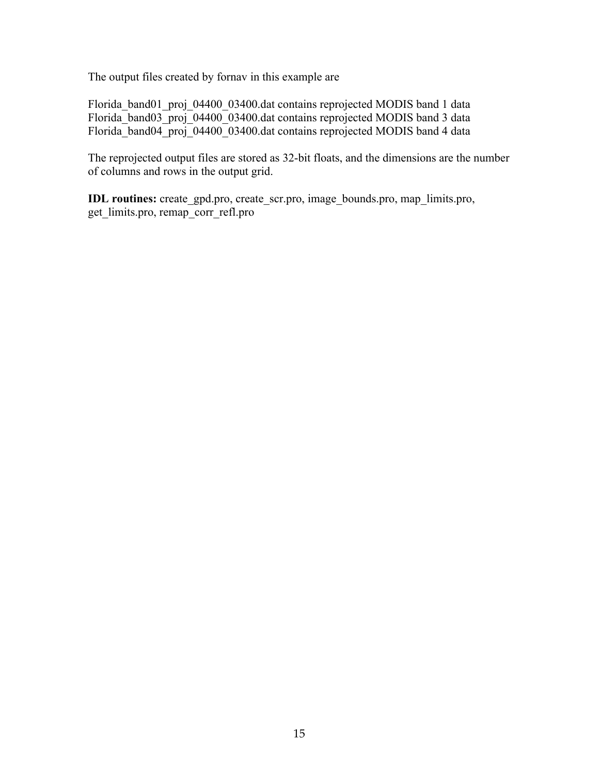The output files created by fornav in this example are

Florida\_band01\_proj\_04400\_03400.dat contains reprojected MODIS band 1 data Florida<sup>band03</sup> proj<sup>04400</sup> 03400.dat contains reprojected MODIS band 3 data Florida\_band04\_proj\_04400\_03400.dat contains reprojected MODIS band 4 data

The reprojected output files are stored as 32-bit floats, and the dimensions are the number of columns and rows in the output grid.

**IDL routines:** create\_gpd.pro, create\_scr.pro, image\_bounds.pro, map\_limits.pro, get limits.pro, remap corr\_refl.pro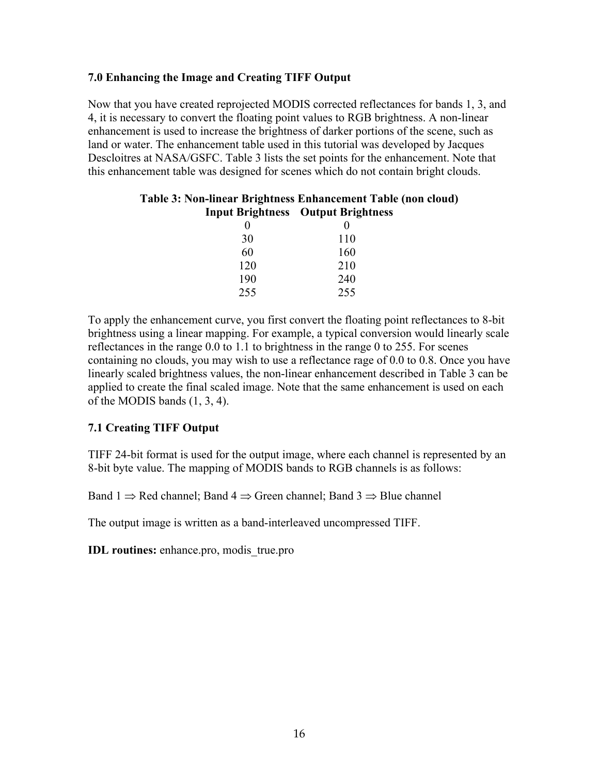# **7.0 Enhancing the Image and Creating TIFF Output**

Now that you have created reprojected MODIS corrected reflectances for bands 1, 3, and 4, it is necessary to convert the floating point values to RGB brightness. A non-linear enhancement is used to increase the brightness of darker portions of the scene, such as land or water. The enhancement table used in this tutorial was developed by Jacques Descloitres at NASA/GSFC. Table 3 lists the set points for the enhancement. Note that this enhancement table was designed for scenes which do not contain bright clouds.

| Table 3: Non-linear Brightness Enhancement Table (non cloud) |                                           |  |  |  |
|--------------------------------------------------------------|-------------------------------------------|--|--|--|
|                                                              | <b>Input Brightness</b> Output Brightness |  |  |  |
|                                                              |                                           |  |  |  |
| 30                                                           | 110                                       |  |  |  |
| 60                                                           | 160                                       |  |  |  |
| 120                                                          | 210                                       |  |  |  |
| 190                                                          | 240                                       |  |  |  |
| 255                                                          | 255                                       |  |  |  |

To apply the enhancement curve, you first convert the floating point reflectances to 8-bit brightness using a linear mapping. For example, a typical conversion would linearly scale reflectances in the range 0.0 to 1.1 to brightness in the range 0 to 255. For scenes containing no clouds, you may wish to use a reflectance rage of 0.0 to 0.8. Once you have linearly scaled brightness values, the non-linear enhancement described in Table 3 can be applied to create the final scaled image. Note that the same enhancement is used on each of the MODIS bands (1, 3, 4).

# **7.1 Creating TIFF Output**

TIFF 24-bit format is used for the output image, where each channel is represented by an 8-bit byte value. The mapping of MODIS bands to RGB channels is as follows:

Band 1  $\Rightarrow$  Red channel; Band 4  $\Rightarrow$  Green channel; Band 3  $\Rightarrow$  Blue channel

The output image is written as a band-interleaved uncompressed TIFF.

**IDL routines:** enhance.pro, modis\_true.pro